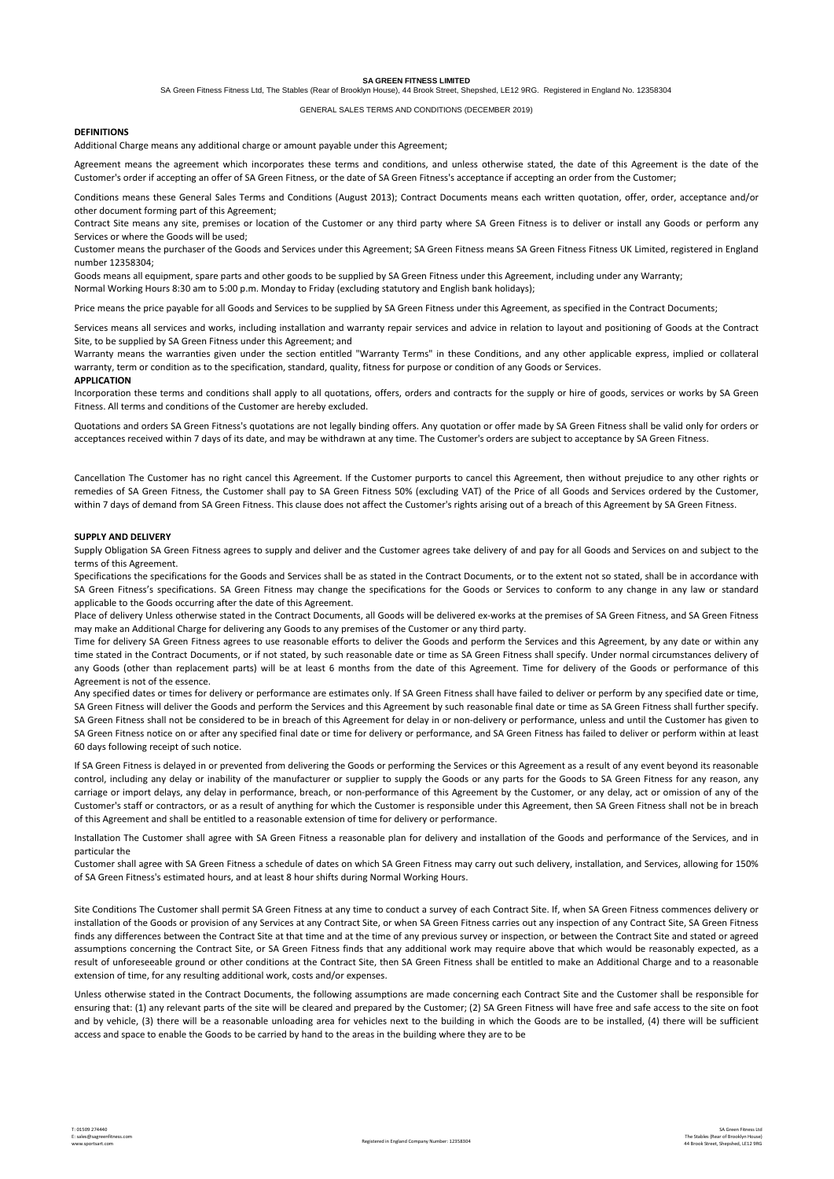**SA GREEN FITNESS LIMITED**

SA Green Fitness Fitness Ltd, The Stables (Rear of Brooklyn House), 44 Brook Street, Shepshed, LE12 9RG. Registered in England No. 12358304

## GENERAL SALES TERMS AND CONDITIONS (DECEMBER 2019)

### **DEFINITIONS**

Additional Charge means any additional charge or amount payable under this Agreement;

Agreement means the agreement which incorporates these terms and conditions, and unless otherwise stated, the date of this Agreement is the date of the Customer's order if accepting an offer of SA Green Fitness, or the date of SA Green Fitness's acceptance if accepting an order from the Customer;

Conditions means these General Sales Terms and Conditions (August 2013); Contract Documents means each written quotation, offer, order, acceptance and/or other document forming part of this Agreement;

Contract Site means any site, premises or location of the Customer or any third party where SA Green Fitness is to deliver or install any Goods or perform any Services or where the Goods will be used;

Customer means the purchaser of the Goods and Services under this Agreement; SA Green Fitness means SA Green Fitness Fitness UK Limited, registered in England number 12358304;

Goods means all equipment, spare parts and other goods to be supplied by SA Green Fitness under this Agreement, including under any Warranty; Normal Working Hours 8:30 am to 5:00 p.m. Monday to Friday (excluding statutory and English bank holidays);

Price means the price payable for all Goods and Services to be supplied by SA Green Fitness under this Agreement, as specified in the Contract Documents;

Services means all services and works, including installation and warranty repair services and advice in relation to layout and positioning of Goods at the Contract Site, to be supplied by SA Green Fitness under this Agreement; and

Warranty means the warranties given under the section entitled "Warranty Terms" in these Conditions, and any other applicable express, implied or collateral warranty, term or condition as to the specification, standard, quality, fitness for purpose or condition of any Goods or Services.

### **APPLICATION**

Incorporation these terms and conditions shall apply to all quotations, offers, orders and contracts for the supply or hire of goods, services or works by SA Green Fitness. All terms and conditions of the Customer are hereby excluded.

Quotations and orders SA Green Fitness's quotations are not legally binding offers. Any quotation or offer made by SA Green Fitness shall be valid only for orders or acceptances received within 7 days of its date, and may be withdrawn at any time. The Customer's orders are subject to acceptance by SA Green Fitness.

Cancellation The Customer has no right cancel this Agreement. If the Customer purports to cancel this Agreement, then without prejudice to any other rights or remedies of SA Green Fitness, the Customer shall pay to SA Green Fitness 50% (excluding VAT) of the Price of all Goods and Services ordered by the Customer, within 7 days of demand from SA Green Fitness. This clause does not affect the Customer's rights arising out of a breach of this Agreement by SA Green Fitness.

### **SUPPLY AND DELIVERY**

Supply Obligation SA Green Fitness agrees to supply and deliver and the Customer agrees take delivery of and pay for all Goods and Services on and subject to the terms of this Agreement.

Specifications the specifications for the Goods and Services shall be as stated in the Contract Documents, or to the extent not so stated, shall be in accordance with SA Green Fitness's specifications. SA Green Fitness may change the specifications for the Goods or Services to conform to any change in any law or standard applicable to the Goods occurring after the date of this Agreement.

Place of delivery Unless otherwise stated in the Contract Documents, all Goods will be delivered ex-works at the premises of SA Green Fitness, and SA Green Fitness may make an Additional Charge for delivering any Goods to any premises of the Customer or any third party.

Time for delivery SA Green Fitness agrees to use reasonable efforts to deliver the Goods and perform the Services and this Agreement, by any date or within any time stated in the Contract Documents, or if not stated, by such reasonable date or time as SA Green Fitness shall specify. Under normal circumstances delivery of any Goods (other than replacement parts) will be at least 6 months from the date of this Agreement. Time for delivery of the Goods or performance of this Agreement is not of the essence.

Any specified dates or times for delivery or performance are estimates only. If SA Green Fitness shall have failed to deliver or perform by any specified date or time, SA Green Fitness will deliver the Goods and perform the Services and this Agreement by such reasonable final date or time as SA Green Fitness shall further specify. SA Green Fitness shall not be considered to be in breach of this Agreement for delay in or non-delivery or performance, unless and until the Customer has given to SA Green Fitness notice on or after any specified final date or time for delivery or performance, and SA Green Fitness has failed to deliver or perform within at least 60 days following receipt of such notice.

If SA Green Fitness is delayed in or prevented from delivering the Goods or performing the Services or this Agreement as a result of any event beyond its reasonable control, including any delay or inability of the manufacturer or supplier to supply the Goods or any parts for the Goods to SA Green Fitness for any reason, any carriage or import delays, any delay in performance, breach, or non-performance of this Agreement by the Customer, or any delay, act or omission of any of the Customer's staff or contractors, or as a result of anything for which the Customer is responsible under this Agreement, then SA Green Fitness shall not be in breach of this Agreement and shall be entitled to a reasonable extension of time for delivery or performance.

Installation The Customer shall agree with SA Green Fitness a reasonable plan for delivery and installation of the Goods and performance of the Services, and in particular the

Customer shall agree with SA Green Fitness a schedule of dates on which SA Green Fitness may carry out such delivery, installation, and Services, allowing for 150% of SA Green Fitness's estimated hours, and at least 8 hour shifts during Normal Working Hours.

Site Conditions The Customer shall permit SA Green Fitness at any time to conduct a survey of each Contract Site. If, when SA Green Fitness commences delivery or installation of the Goods or provision of any Services at any Contract Site, or when SA Green Fitness carries out any inspection of any Contract Site, SA Green Fitness finds any differences between the Contract Site at that time and at the time of any previous survey or inspection, or between the Contract Site and stated or agreed assumptions concerning the Contract Site, or SA Green Fitness finds that any additional work may require above that which would be reasonably expected, as a result of unforeseeable ground or other conditions at the Contract Site, then SA Green Fitness shall be entitled to make an Additional Charge and to a reasonable extension of time, for any resulting additional work, costs and/or expenses.

Unless otherwise stated in the Contract Documents, the following assumptions are made concerning each Contract Site and the Customer shall be responsible for ensuring that: (1) any relevant parts of the site will be cleared and prepared by the Customer; (2) SA Green Fitness will have free and safe access to the site on foot and by vehicle, (3) there will be a reasonable unloading area for vehicles next to the building in which the Goods are to be installed, (4) there will be sufficient access and space to enable the Goods to be carried by hand to the areas in the building where they are to be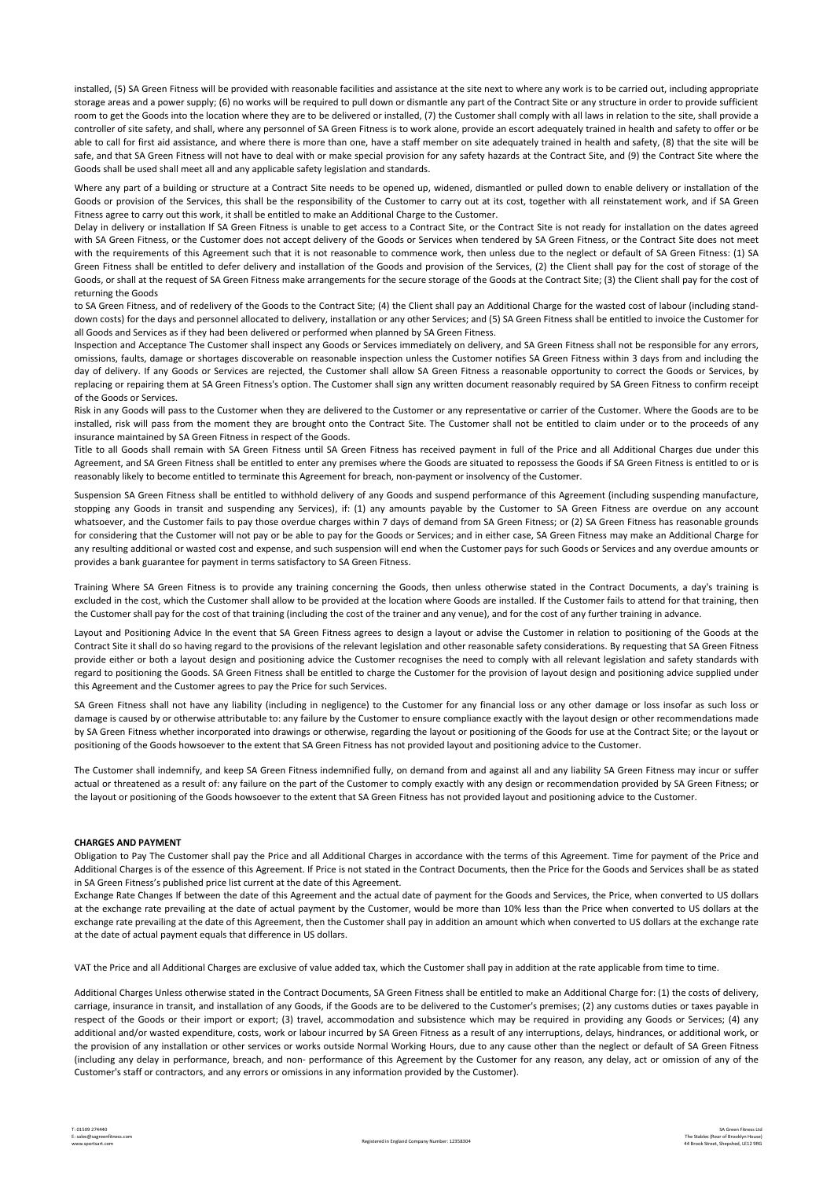installed, (5) SA Green Fitness will be provided with reasonable facilities and assistance at the site next to where any work is to be carried out, including appropriate storage areas and a power supply; (6) no works will be required to pull down or dismantle any part of the Contract Site or any structure in order to provide sufficient room to get the Goods into the location where they are to be delivered or installed, (7) the Customer shall comply with all laws in relation to the site, shall provide a controller of site safety, and shall, where any personnel of SA Green Fitness is to work alone, provide an escort adequately trained in health and safety to offer or be able to call for first aid assistance, and where there is more than one, have a staff member on site adequately trained in health and safety, (8) that the site will be safe, and that SA Green Fitness will not have to deal with or make special provision for any safety hazards at the Contract Site, and (9) the Contract Site where the Goods shall be used shall meet all and any applicable safety legislation and standards.

Where any part of a building or structure at a Contract Site needs to be opened up, widened, dismantled or pulled down to enable delivery or installation of the Goods or provision of the Services, this shall be the responsibility of the Customer to carry out at its cost, together with all reinstatement work, and if SA Green Fitness agree to carry out this work, it shall be entitled to make an Additional Charge to the Customer.

Delay in delivery or installation If SA Green Fitness is unable to get access to a Contract Site, or the Contract Site is not ready for installation on the dates agreed with SA Green Fitness, or the Customer does not accept delivery of the Goods or Services when tendered by SA Green Fitness, or the Contract Site does not meet with the requirements of this Agreement such that it is not reasonable to commence work, then unless due to the neglect or default of SA Green Fitness: (1) SA Green Fitness shall be entitled to defer delivery and installation of the Goods and provision of the Services, (2) the Client shall pay for the cost of storage of the Goods, or shall at the request of SA Green Fitness make arrangements for the secure storage of the Goods at the Contract Site; (3) the Client shall pay for the cost of returning the Goods

to SA Green Fitness, and of redelivery of the Goods to the Contract Site; (4) the Client shall pay an Additional Charge for the wasted cost of labour (including standdown costs) for the days and personnel allocated to delivery, installation or any other Services; and (5) SA Green Fitness shall be entitled to invoice the Customer for all Goods and Services as if they had been delivered or performed when planned by SA Green Fitness.

Inspection and Acceptance The Customer shall inspect any Goods or Services immediately on delivery, and SA Green Fitness shall not be responsible for any errors, omissions, faults, damage or shortages discoverable on reasonable inspection unless the Customer notifies SA Green Fitness within 3 days from and including the day of delivery. If any Goods or Services are rejected, the Customer shall allow SA Green Fitness a reasonable opportunity to correct the Goods or Services, by replacing or repairing them at SA Green Fitness's option. The Customer shall sign any written document reasonably required by SA Green Fitness to confirm receipt of the Goods or Services.

Risk in any Goods will pass to the Customer when they are delivered to the Customer or any representative or carrier of the Customer. Where the Goods are to be installed, risk will pass from the moment they are brought onto the Contract Site. The Customer shall not be entitled to claim under or to the proceeds of any insurance maintained by SA Green Fitness in respect of the Goods.

Title to all Goods shall remain with SA Green Fitness until SA Green Fitness has received payment in full of the Price and all Additional Charges due under this Agreement, and SA Green Fitness shall be entitled to enter any premises where the Goods are situated to repossess the Goods if SA Green Fitness is entitled to or is reasonably likely to become entitled to terminate this Agreement for breach, non-payment or insolvency of the Customer.

Suspension SA Green Fitness shall be entitled to withhold delivery of any Goods and suspend performance of this Agreement (including suspending manufacture, stopping any Goods in transit and suspending any Services), if: (1) any amounts payable by the Customer to SA Green Fitness are overdue on any account whatsoever, and the Customer fails to pay those overdue charges within 7 days of demand from SA Green Fitness; or (2) SA Green Fitness has reasonable grounds for considering that the Customer will not pay or be able to pay for the Goods or Services; and in either case, SA Green Fitness may make an Additional Charge for any resulting additional or wasted cost and expense, and such suspension will end when the Customer pays for such Goods or Services and any overdue amounts or provides a bank guarantee for payment in terms satisfactory to SA Green Fitness.

Training Where SA Green Fitness is to provide any training concerning the Goods, then unless otherwise stated in the Contract Documents, a day's training is excluded in the cost, which the Customer shall allow to be provided at the location where Goods are installed. If the Customer fails to attend for that training, then the Customer shall pay for the cost of that training (including the cost of the trainer and any venue), and for the cost of any further training in advance.

Layout and Positioning Advice In the event that SA Green Fitness agrees to design a layout or advise the Customer in relation to positioning of the Goods at the Contract Site it shall do so having regard to the provisions of the relevant legislation and other reasonable safety considerations. By requesting that SA Green Fitness provide either or both a layout design and positioning advice the Customer recognises the need to comply with all relevant legislation and safety standards with regard to positioning the Goods. SA Green Fitness shall be entitled to charge the Customer for the provision of layout design and positioning advice supplied under this Agreement and the Customer agrees to pay the Price for such Services.

SA Green Fitness shall not have any liability (including in negligence) to the Customer for any financial loss or any other damage or loss insofar as such loss or damage is caused by or otherwise attributable to: any failure by the Customer to ensure compliance exactly with the layout design or other recommendations made by SA Green Fitness whether incorporated into drawings or otherwise, regarding the layout or positioning of the Goods for use at the Contract Site; or the layout or positioning of the Goods howsoever to the extent that SA Green Fitness has not provided layout and positioning advice to the Customer.

The Customer shall indemnify, and keep SA Green Fitness indemnified fully, on demand from and against all and any liability SA Green Fitness may incur or suffer actual or threatened as a result of: any failure on the part of the Customer to comply exactly with any design or recommendation provided by SA Green Fitness; or the layout or positioning of the Goods howsoever to the extent that SA Green Fitness has not provided layout and positioning advice to the Customer.

# **CHARGES AND PAYMENT**

Obligation to Pay The Customer shall pay the Price and all Additional Charges in accordance with the terms of this Agreement. Time for payment of the Price and Additional Charges is of the essence of this Agreement. If Price is not stated in the Contract Documents, then the Price for the Goods and Services shall be as stated in SA Green Fitness's published price list current at the date of this Agreement.

Exchange Rate Changes If between the date of this Agreement and the actual date of payment for the Goods and Services, the Price, when converted to US dollars at the exchange rate prevailing at the date of actual payment by the Customer, would be more than 10% less than the Price when converted to US dollars at the exchange rate prevailing at the date of this Agreement, then the Customer shall pay in addition an amount which when converted to US dollars at the exchange rate at the date of actual payment equals that difference in US dollars.

VAT the Price and all Additional Charges are exclusive of value added tax, which the Customer shall pay in addition at the rate applicable from time to time.

Additional Charges Unless otherwise stated in the Contract Documents, SA Green Fitness shall be entitled to make an Additional Charge for: (1) the costs of delivery, carriage, insurance in transit, and installation of any Goods, if the Goods are to be delivered to the Customer's premises; (2) any customs duties or taxes payable in respect of the Goods or their import or export; (3) travel, accommodation and subsistence which may be required in providing any Goods or Services; (4) any additional and/or wasted expenditure, costs, work or labour incurred by SA Green Fitness as a result of any interruptions, delays, hindrances, or additional work, or the provision of any installation or other services or works outside Normal Working Hours, due to any cause other than the neglect or default of SA Green Fitness (including any delay in performance, breach, and non- performance of this Agreement by the Customer for any reason, any delay, act or omission of any of the Customer's staff or contractors, and any errors or omissions in any information provided by the Customer).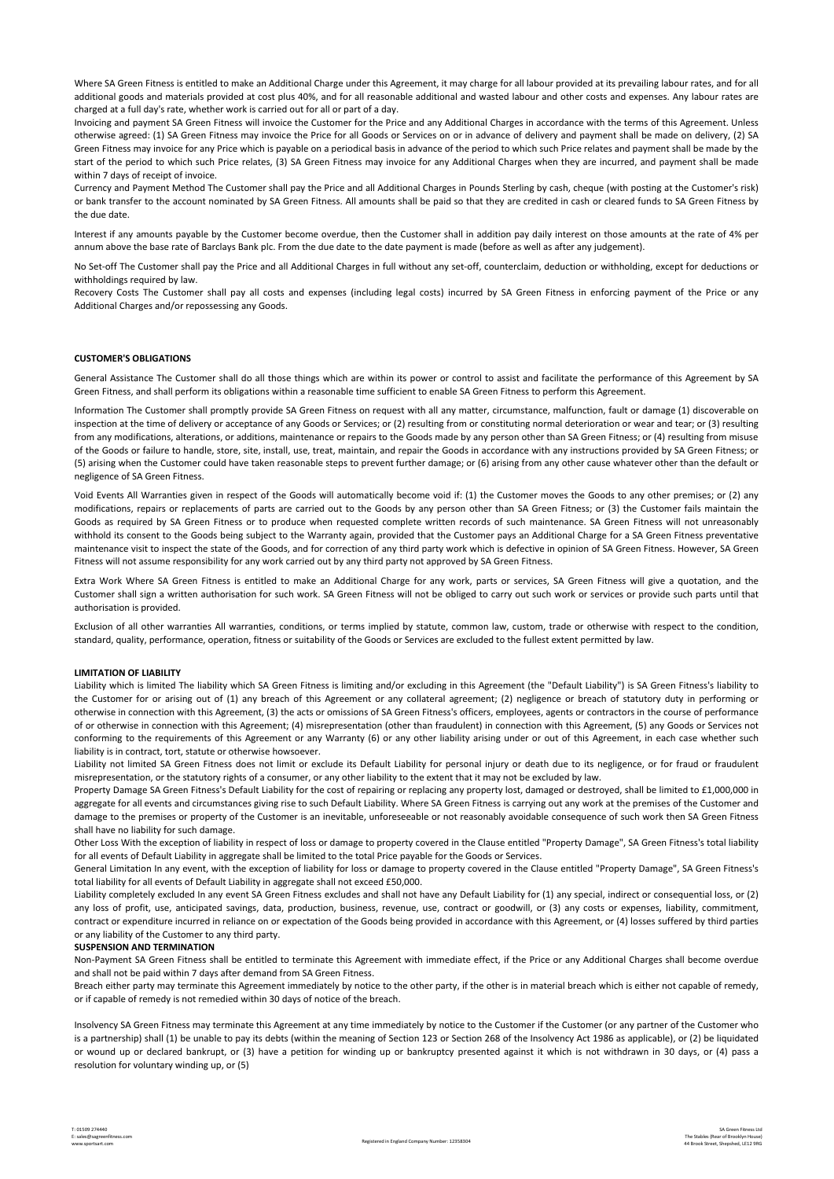Where SA Green Fitness is entitled to make an Additional Charge under this Agreement, it may charge for all labour provided at its prevailing labour rates, and for all additional goods and materials provided at cost plus 40%, and for all reasonable additional and wasted labour and other costs and expenses. Any labour rates are charged at a full day's rate, whether work is carried out for all or part of a day.

Invoicing and payment SA Green Fitness will invoice the Customer for the Price and any Additional Charges in accordance with the terms of this Agreement. Unless otherwise agreed: (1) SA Green Fitness may invoice the Price for all Goods or Services on or in advance of delivery and payment shall be made on delivery, (2) SA Green Fitness may invoice for any Price which is payable on a periodical basis in advance of the period to which such Price relates and payment shall be made by the start of the period to which such Price relates, (3) SA Green Fitness may invoice for any Additional Charges when they are incurred, and payment shall be made within 7 days of receipt of invoice.

Currency and Payment Method The Customer shall pay the Price and all Additional Charges in Pounds Sterling by cash, cheque (with posting at the Customer's risk) or bank transfer to the account nominated by SA Green Fitness. All amounts shall be paid so that they are credited in cash or cleared funds to SA Green Fitness by the due date.

Interest if any amounts payable by the Customer become overdue, then the Customer shall in addition pay daily interest on those amounts at the rate of 4% per annum above the base rate of Barclays Bank plc. From the due date to the date payment is made (before as well as after any judgement).

No Set-off The Customer shall pay the Price and all Additional Charges in full without any set-off, counterclaim, deduction or withholding, except for deductions or withholdings required by law.

Recovery Costs The Customer shall pay all costs and expenses (including legal costs) incurred by SA Green Fitness in enforcing payment of the Price or any Additional Charges and/or repossessing any Goods.

# **CUSTOMER'S OBLIGATIONS**

General Assistance The Customer shall do all those things which are within its power or control to assist and facilitate the performance of this Agreement by SA Green Fitness, and shall perform its obligations within a reasonable time sufficient to enable SA Green Fitness to perform this Agreement.

Information The Customer shall promptly provide SA Green Fitness on request with all any matter, circumstance, malfunction, fault or damage (1) discoverable on inspection at the time of delivery or acceptance of any Goods or Services; or (2) resulting from or constituting normal deterioration or wear and tear; or (3) resulting from any modifications, alterations, or additions, maintenance or repairs to the Goods made by any person other than SA Green Fitness; or (4) resulting from misuse of the Goods or failure to handle, store, site, install, use, treat, maintain, and repair the Goods in accordance with any instructions provided by SA Green Fitness; or (5) arising when the Customer could have taken reasonable steps to prevent further damage; or (6) arising from any other cause whatever other than the default or negligence of SA Green Fitness.

Void Events All Warranties given in respect of the Goods will automatically become void if: (1) the Customer moves the Goods to any other premises; or (2) any modifications, repairs or replacements of parts are carried out to the Goods by any person other than SA Green Fitness; or (3) the Customer fails maintain the Goods as required by SA Green Fitness or to produce when requested complete written records of such maintenance. SA Green Fitness will not unreasonably withhold its consent to the Goods being subject to the Warranty again, provided that the Customer pays an Additional Charge for a SA Green Fitness preventative maintenance visit to inspect the state of the Goods, and for correction of any third party work which is defective in opinion of SA Green Fitness. However, SA Green Fitness will not assume responsibility for any work carried out by any third party not approved by SA Green Fitness.

Extra Work Where SA Green Fitness is entitled to make an Additional Charge for any work, parts or services, SA Green Fitness will give a quotation, and the Customer shall sign a written authorisation for such work. SA Green Fitness will not be obliged to carry out such work or services or provide such parts until that authorisation is provided.

Exclusion of all other warranties All warranties, conditions, or terms implied by statute, common law, custom, trade or otherwise with respect to the condition, standard, quality, performance, operation, fitness or suitability of the Goods or Services are excluded to the fullest extent permitted by law.

# **LIMITATION OF LIABILITY**

Liability which is limited The liability which SA Green Fitness is limiting and/or excluding in this Agreement (the "Default Liability") is SA Green Fitness's liability to the Customer for or arising out of (1) any breach of this Agreement or any collateral agreement; (2) negligence or breach of statutory duty in performing or otherwise in connection with this Agreement, (3) the acts or omissions of SA Green Fitness's officers, employees, agents or contractors in the course of performance of or otherwise in connection with this Agreement; (4) misrepresentation (other than fraudulent) in connection with this Agreement, (5) any Goods or Services not conforming to the requirements of this Agreement or any Warranty (6) or any other liability arising under or out of this Agreement, in each case whether such liability is in contract, tort, statute or otherwise howsoever.

Liability not limited SA Green Fitness does not limit or exclude its Default Liability for personal injury or death due to its negligence, or for fraud or fraudulent misrepresentation, or the statutory rights of a consumer, or any other liability to the extent that it may not be excluded by law.

Property Damage SA Green Fitness's Default Liability for the cost of repairing or replacing any property lost, damaged or destroyed, shall be limited to £1,000,000 in aggregate for all events and circumstances giving rise to such Default Liability. Where SA Green Fitness is carrying out any work at the premises of the Customer and damage to the premises or property of the Customer is an inevitable, unforeseeable or not reasonably avoidable consequence of such work then SA Green Fitness shall have no liability for such damage.

Other Loss With the exception of liability in respect of loss or damage to property covered in the Clause entitled "Property Damage", SA Green Fitness's total liability for all events of Default Liability in aggregate shall be limited to the total Price payable for the Goods or Services.

General Limitation In any event, with the exception of liability for loss or damage to property covered in the Clause entitled "Property Damage", SA Green Fitness's total liability for all events of Default Liability in aggregate shall not exceed £50,000.

Liability completely excluded In any event SA Green Fitness excludes and shall not have any Default Liability for (1) any special, indirect or consequential loss, or (2) any loss of profit, use, anticipated savings, data, production, business, revenue, use, contract or goodwill, or (3) any costs or expenses, liability, commitment, contract or expenditure incurred in reliance on or expectation of the Goods being provided in accordance with this Agreement, or (4) losses suffered by third parties or any liability of the Customer to any third party.

## **SUSPENSION AND TERMINATION**

Non-Payment SA Green Fitness shall be entitled to terminate this Agreement with immediate effect, if the Price or any Additional Charges shall become overdue and shall not be paid within 7 days after demand from SA Green Fitness.

Breach either party may terminate this Agreement immediately by notice to the other party, if the other is in material breach which is either not capable of remedy, or if capable of remedy is not remedied within 30 days of notice of the breach.

Insolvency SA Green Fitness may terminate this Agreement at any time immediately by notice to the Customer if the Customer (or any partner of the Customer who is a partnership) shall (1) be unable to pay its debts (within the meaning of Section 123 or Section 268 of the Insolvency Act 1986 as applicable), or (2) be liquidated or wound up or declared bankrupt, or (3) have a petition for winding up or bankruptcy presented against it which is not withdrawn in 30 days, or (4) pass a resolution for voluntary winding up, or (5)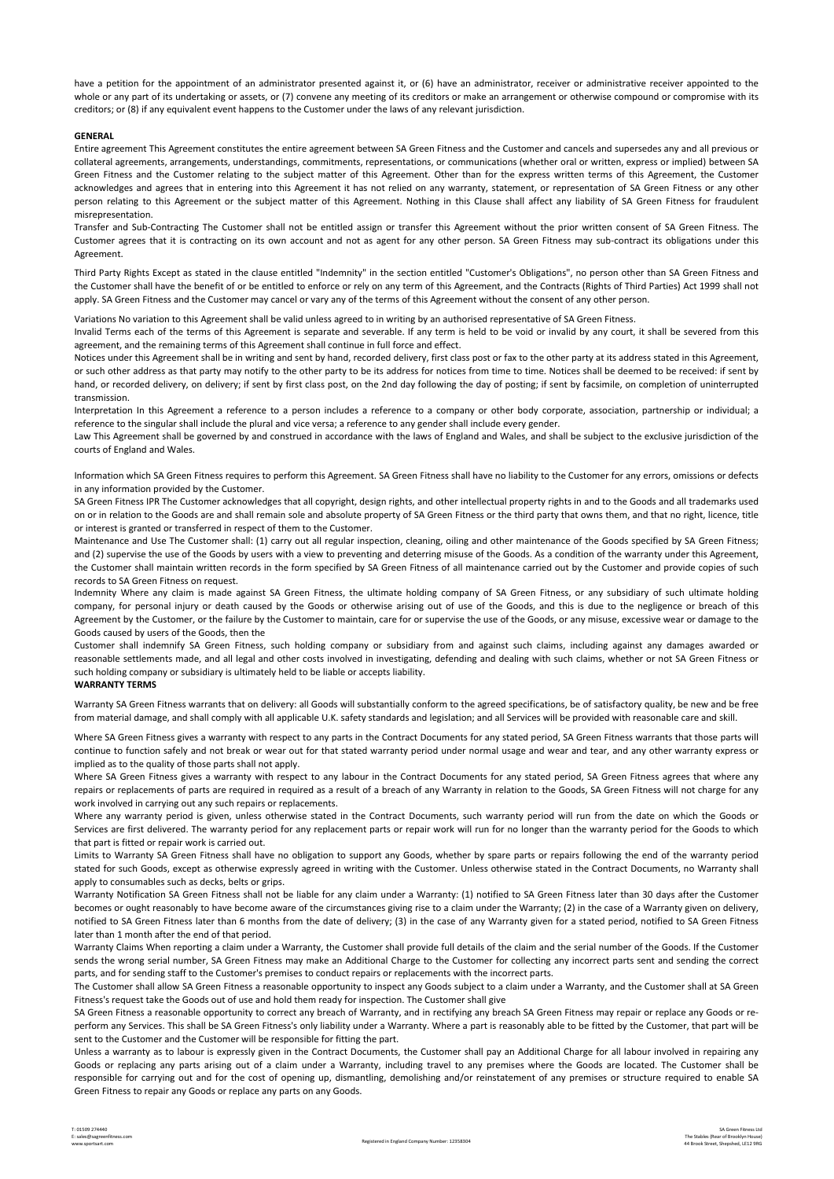have a petition for the appointment of an administrator presented against it, or (6) have an administrator, receiver or administrative receiver appointed to the whole or any part of its undertaking or assets, or (7) convene any meeting of its creditors or make an arrangement or otherwise compound or compromise with its creditors; or (8) if any equivalent event happens to the Customer under the laws of any relevant jurisdiction.

## **GENERAL**

Entire agreement This Agreement constitutes the entire agreement between SA Green Fitness and the Customer and cancels and supersedes any and all previous or collateral agreements, arrangements, understandings, commitments, representations, or communications (whether oral or written, express or implied) between SA Green Fitness and the Customer relating to the subject matter of this Agreement. Other than for the express written terms of this Agreement, the Customer acknowledges and agrees that in entering into this Agreement it has not relied on any warranty, statement, or representation of SA Green Fitness or any other person relating to this Agreement or the subject matter of this Agreement. Nothing in this Clause shall affect any liability of SA Green Fitness for fraudulent misrepresentation.

Transfer and Sub-Contracting The Customer shall not be entitled assign or transfer this Agreement without the prior written consent of SA Green Fitness. The Customer agrees that it is contracting on its own account and not as agent for any other person. SA Green Fitness may sub-contract its obligations under this Agreement.

Third Party Rights Except as stated in the clause entitled "Indemnity" in the section entitled "Customer's Obligations", no person other than SA Green Fitness and the Customer shall have the benefit of or be entitled to enforce or rely on any term of this Agreement, and the Contracts (Rights of Third Parties) Act 1999 shall not apply. SA Green Fitness and the Customer may cancel or vary any of the terms of this Agreement without the consent of any other person.

Variations No variation to this Agreement shall be valid unless agreed to in writing by an authorised representative of SA Green Fitness.

Invalid Terms each of the terms of this Agreement is separate and severable. If any term is held to be void or invalid by any court, it shall be severed from this agreement, and the remaining terms of this Agreement shall continue in full force and effect.

Notices under this Agreement shall be in writing and sent by hand, recorded delivery, first class post or fax to the other party at its address stated in this Agreement, or such other address as that party may notify to the other party to be its address for notices from time to time. Notices shall be deemed to be received: if sent by hand, or recorded delivery, on delivery; if sent by first class post, on the 2nd day following the day of posting; if sent by facsimile, on completion of uninterrupted transmission.

Interpretation In this Agreement a reference to a person includes a reference to a company or other body corporate, association, partnership or individual; a reference to the singular shall include the plural and vice versa; a reference to any gender shall include every gender.

Law This Agreement shall be governed by and construed in accordance with the laws of England and Wales, and shall be subject to the exclusive jurisdiction of the courts of England and Wales.

Information which SA Green Fitness requires to perform this Agreement. SA Green Fitness shall have no liability to the Customer for any errors, omissions or defects in any information provided by the Customer.

SA Green Fitness IPR The Customer acknowledges that all copyright, design rights, and other intellectual property rights in and to the Goods and all trademarks used on or in relation to the Goods are and shall remain sole and absolute property of SA Green Fitness or the third party that owns them, and that no right, licence, title or interest is granted or transferred in respect of them to the Customer.

Maintenance and Use The Customer shall: (1) carry out all regular inspection, cleaning, oiling and other maintenance of the Goods specified by SA Green Fitness; and (2) supervise the use of the Goods by users with a view to preventing and deterring misuse of the Goods. As a condition of the warranty under this Agreement, the Customer shall maintain written records in the form specified by SA Green Fitness of all maintenance carried out by the Customer and provide copies of such records to SA Green Fitness on request.

Indemnity Where any claim is made against SA Green Fitness, the ultimate holding company of SA Green Fitness, or any subsidiary of such ultimate holding company, for personal injury or death caused by the Goods or otherwise arising out of use of the Goods, and this is due to the negligence or breach of this Agreement by the Customer, or the failure by the Customer to maintain, care for or supervise the use of the Goods, or any misuse, excessive wear or damage to the Goods caused by users of the Goods, then the

Customer shall indemnify SA Green Fitness, such holding company or subsidiary from and against such claims, including against any damages awarded or reasonable settlements made, and all legal and other costs involved in investigating, defending and dealing with such claims, whether or not SA Green Fitness or such holding company or subsidiary is ultimately held to be liable or accepts liability.

## **WARRANTY TERMS**

Warranty SA Green Fitness warrants that on delivery: all Goods will substantially conform to the agreed specifications, be of satisfactory quality, be new and be free from material damage, and shall comply with all applicable U.K. safety standards and legislation; and all Services will be provided with reasonable care and skill.

Where SA Green Fitness gives a warranty with respect to any parts in the Contract Documents for any stated period, SA Green Fitness warrants that those parts will continue to function safely and not break or wear out for that stated warranty period under normal usage and wear and tear, and any other warranty express or implied as to the quality of those parts shall not apply.

Where SA Green Fitness gives a warranty with respect to any labour in the Contract Documents for any stated period, SA Green Fitness agrees that where any repairs or replacements of parts are required in required as a result of a breach of any Warranty in relation to the Goods, SA Green Fitness will not charge for any work involved in carrying out any such repairs or replacements.

Where any warranty period is given, unless otherwise stated in the Contract Documents, such warranty period will run from the date on which the Goods or Services are first delivered. The warranty period for any replacement parts or repair work will run for no longer than the warranty period for the Goods to which that part is fitted or repair work is carried out.

Limits to Warranty SA Green Fitness shall have no obligation to support any Goods, whether by spare parts or repairs following the end of the warranty period stated for such Goods, except as otherwise expressly agreed in writing with the Customer. Unless otherwise stated in the Contract Documents, no Warranty shall apply to consumables such as decks, belts or grips.

Warranty Notification SA Green Fitness shall not be liable for any claim under a Warranty: (1) notified to SA Green Fitness later than 30 days after the Customer becomes or ought reasonably to have become aware of the circumstances giving rise to a claim under the Warranty; (2) in the case of a Warranty given on delivery, notified to SA Green Fitness later than 6 months from the date of delivery; (3) in the case of any Warranty given for a stated period, notified to SA Green Fitness later than 1 month after the end of that period.

Warranty Claims When reporting a claim under a Warranty, the Customer shall provide full details of the claim and the serial number of the Goods. If the Customer sends the wrong serial number, SA Green Fitness may make an Additional Charge to the Customer for collecting any incorrect parts sent and sending the correct parts, and for sending staff to the Customer's premises to conduct repairs or replacements with the incorrect parts.

The Customer shall allow SA Green Fitness a reasonable opportunity to inspect any Goods subject to a claim under a Warranty, and the Customer shall at SA Green Fitness's request take the Goods out of use and hold them ready for inspection. The Customer shall give

SA Green Fitness a reasonable opportunity to correct any breach of Warranty, and in rectifying any breach SA Green Fitness may repair or replace any Goods or reperform any Services. This shall be SA Green Fitness's only liability under a Warranty. Where a part is reasonably able to be fitted by the Customer, that part will be sent to the Customer and the Customer will be responsible for fitting the part.

Unless a warranty as to labour is expressly given in the Contract Documents, the Customer shall pay an Additional Charge for all labour involved in repairing any Goods or replacing any parts arising out of a claim under a Warranty, including travel to any premises where the Goods are located. The Customer shall be responsible for carrying out and for the cost of opening up, dismantling, demolishing and/or reinstatement of any premises or structure required to enable SA Green Fitness to repair any Goods or replace any parts on any Goods.